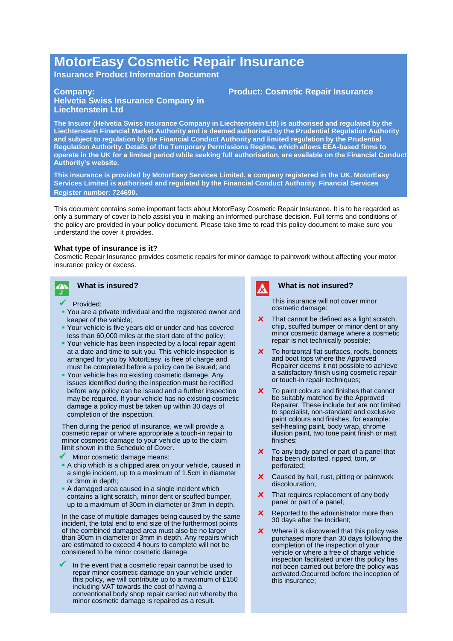# **MotorEasy Cosmetic Repair Insurance**

**Insurance Product Information Document**

## **Company:**

## **Helvetia Swiss Insurance Company in Liechtenstein Ltd**

**The Insurer (Helvetia Swiss Insurance Company in Liechtenstein Ltd) is authorised and regulated by the Liechtenstein Financial Market Authority and is deemed authorised by the Prudential Regulation Authority and subject to regulation by the Financial Conduct Authority and limited regulation by the Prudential Regulation Authority. Details of the Temporary Permissions Regime, which allows EEA-based firms to operate in the UK for a limited period while seeking full authorisation, are available on the Financial Conduct Authority's website.**

**This insurance is provided by MotorEasy Services Limited, a company registered in the UK. MotorEasy Services Limited is authorised and regulated by the Financial Conduct Authority. Financial Services Register number: 724690.**

This document contains some important facts about MotorEasy Cosmetic Repair Insurance. It is to be regarded as only a summary of cover to help assist you in making an informed purchase decision. Full terms and conditions of the policy are provided in your policy document. Please take time to read this policy document to make sure you understand the cover it provides.

## **What type of insurance is it?**

Cosmetic Repair Insurance provides cosmetic repairs for minor damage to paintwork without affecting your motor insurance policy or excess.



## **What is insured?**

- Provided:
- You are a private individual and the registered owner and keeper of the vehicle;
- Your vehicle is five years old or under and has covered less than 60,000 miles at the start date of the policy;
- Your vehicle has been inspected by a local repair agent at a date and time to suit you. This vehicle inspection is arranged for you by MotorEasy, is free of charge and must be completed before a policy can be issued; and
- **Your vehicle has no existing cosmetic damage. Any** issues identified during the inspection must be rectified before any policy can be issued and a further inspection may be required. If your vehicle has no existing cosmetic damage a policy must be taken up within 30 days of completion of the inspection.

Then during the period of insurance, we will provide a cosmetic repair or where appropriate a touch-in repair to minor cosmetic damage to your vehicle up to the claim limit shown in the Schedule of Cover.

- Minor cosmetic damage means:
- A chip which is a chipped area on your vehicle, caused in a single incident, up to a maximum of 1.5cm in diameter or 3mm in depth;
- A damaged area caused in a single incident which contains a light scratch, minor dent or scuffed bumper, up to a maximum of 30cm in diameter or 3mm in depth.

In the case of multiple damages being caused by the same incident, the total end to end size of the furthermost points of the combined damaged area must also be no larger than 30cm in diameter or 3mm in depth. Any repairs which are estimated to exceed 4 hours to complete will not be considered to be minor cosmetic damage.

 In the event that a cosmetic repair cannot be used to repair minor cosmetic damage on your vehicle under this policy, we will contribute up to a maximum of £150 including VAT towards the cost of having a conventional body shop repair carried out whereby the minor cosmetic damage is repaired as a result.

Δ

## **What is not insured?**

This insurance will not cover minor cosmetic damage:

- **x** That cannot be defined as a light scratch, chip, scuffed bumper or minor dent or any minor cosmetic damage where a cosmetic repair is not technically possible;
- **x** To horizontal flat surfaces, roofs, bonnets and boot tops where the Approved Repairer deems it not possible to achieve a satisfactory finish using cosmetic repair or touch-in repair techniques;
- **x** To paint colours and finishes that cannot be suitably matched by the Approved Repairer. These include but are not limited to specialist, non-standard and exclusive paint colours and finishes, for example: self-healing paint, body wrap, chrome illusion paint, two tone paint finish or matt finishes;
- **x** To any body panel or part of a panel that has been distorted, ripped, torn, or perforated;
- **x** Caused by hail, rust, pitting or paintwork discolouration;
- **x** That requires replacement of any body panel or part of a panel;
- **x** Reported to the administrator more than 30 days after the Incident;
- **x** Where it is discovered that this policy was purchased more than 30 days following the completion of the inspection of your vehicle or where a free of charge vehicle inspection facilitated under this policy has not been carried out before the policy was activated.Occurred before the inception of this insurance;

## **Product: Cosmetic Repair Insurance**